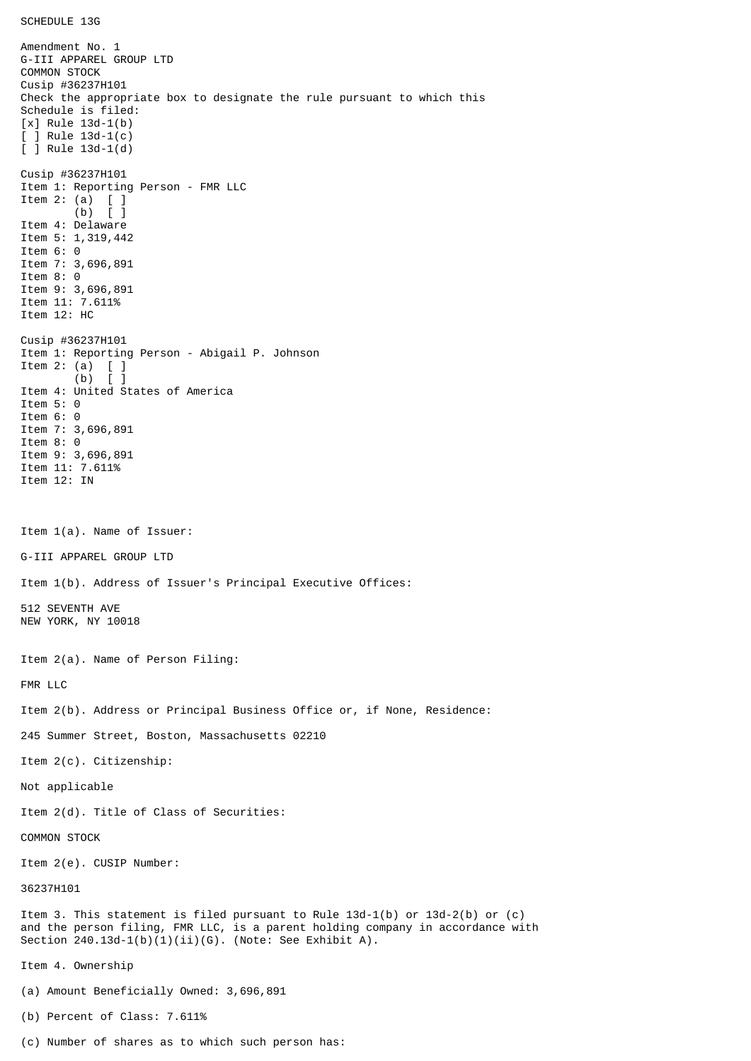SCHEDULE 13G

Amendment No. 1 G-III APPAREL GROUP LTD COMMON STOCK Cusip #36237H101 Check the appropriate box to designate the rule pursuant to which this Schedule is filed: [x] Rule 13d-1(b) [ ] Rule 13d-1(c) [ ] Rule 13d-1(d) Cusip #36237H101 Item 1: Reporting Person - FMR LLC Item 2: (a) [ ] (b) [ ] Item 4: Delaware Item 5: 1,319,442 Item 6: 0 Item 7: 3,696,891 Item 8: 0 Item 9: 3,696,891 Item 11: 7.611% Item 12: HC Cusip #36237H101 Item 1: Reporting Person - Abigail P. Johnson Item 2: (a)  $[ ]$ <br>(b)  $[ ]$  $(b)$ Item 4: United States of America Item 5: 0 Item 6: 0 Item 7: 3,696,891 Item 8: 0 Item 9: 3,696,891 Item 11: 7.611% Item 12: IN Item 1(a). Name of Issuer: G-III APPAREL GROUP LTD Item 1(b). Address of Issuer's Principal Executive Offices: 512 SEVENTH AVE NEW YORK, NY 10018 Item 2(a). Name of Person Filing: FMR LLC Item 2(b). Address or Principal Business Office or, if None, Residence: 245 Summer Street, Boston, Massachusetts 02210 Item 2(c). Citizenship: Not applicable Item 2(d). Title of Class of Securities: COMMON STOCK Item 2(e). CUSIP Number: 36237H101 Item 3. This statement is filed pursuant to Rule 13d-1(b) or 13d-2(b) or (c) and the person filing, FMR LLC, is a parent holding company in accordance with Section  $240.13d-1(b)(1)(ii)(G)$ . (Note: See Exhibit A). Item 4. Ownership (a) Amount Beneficially Owned: 3,696,891 (b) Percent of Class: 7.611%

(c) Number of shares as to which such person has: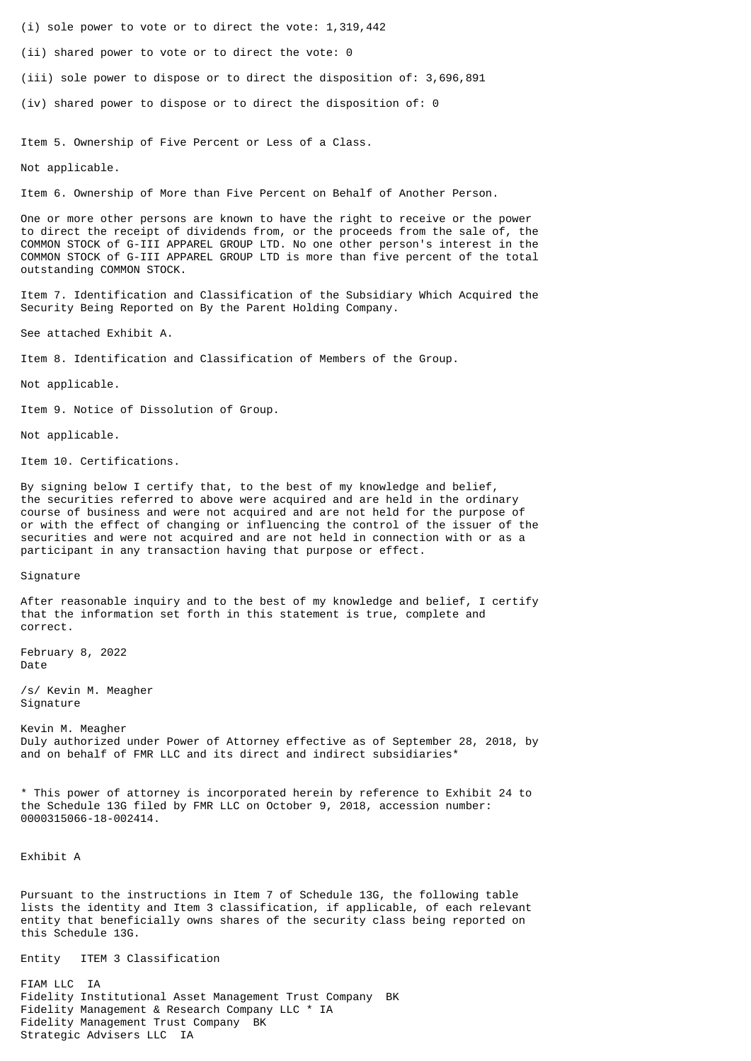- (i) sole power to vote or to direct the vote: 1,319,442
- (ii) shared power to vote or to direct the vote: 0
- (iii) sole power to dispose or to direct the disposition of: 3,696,891
- (iv) shared power to dispose or to direct the disposition of: 0

Item 5. Ownership of Five Percent or Less of a Class.

Not applicable.

Item 6. Ownership of More than Five Percent on Behalf of Another Person.

One or more other persons are known to have the right to receive or the power to direct the receipt of dividends from, or the proceeds from the sale of, the COMMON STOCK of G-III APPAREL GROUP LTD. No one other person's interest in the COMMON STOCK of G-III APPAREL GROUP LTD is more than five percent of the total outstanding COMMON STOCK.

Item 7. Identification and Classification of the Subsidiary Which Acquired the Security Being Reported on By the Parent Holding Company.

See attached Exhibit A.

Item 8. Identification and Classification of Members of the Group.

Not applicable.

Item 9. Notice of Dissolution of Group.

Not applicable.

Item 10. Certifications.

By signing below I certify that, to the best of my knowledge and belief, the securities referred to above were acquired and are held in the ordinary course of business and were not acquired and are not held for the purpose of or with the effect of changing or influencing the control of the issuer of the securities and were not acquired and are not held in connection with or as a participant in any transaction having that purpose or effect.

Signature

After reasonable inquiry and to the best of my knowledge and belief, I certify that the information set forth in this statement is true, complete and correct.

February 8, 2022 Date

/s/ Kevin M. Meagher Signature

Kevin M. Meagher Duly authorized under Power of Attorney effective as of September 28, 2018, by and on behalf of FMR LLC and its direct and indirect subsidiaries\*

\* This power of attorney is incorporated herein by reference to Exhibit 24 to the Schedule 13G filed by FMR LLC on October 9, 2018, accession number: 0000315066-18-002414.

Exhibit A

Pursuant to the instructions in Item 7 of Schedule 13G, the following table lists the identity and Item 3 classification, if applicable, of each relevant entity that beneficially owns shares of the security class being reported on this Schedule 13G.

Entity ITEM 3 Classification

FIAM LLC IA Fidelity Institutional Asset Management Trust Company BK Fidelity Management & Research Company LLC \* IA Fidelity Management Trust Company BK Strategic Advisers LLC IA